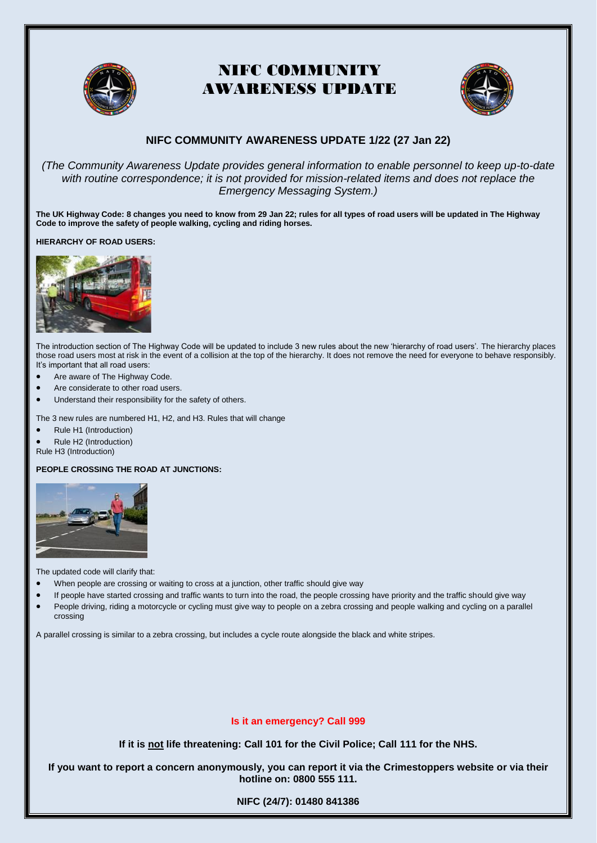



### **NIFC COMMUNITY AWARENESS UPDATE 1/22 (27 Jan 22)**

*(The Community Awareness Update provides general information to enable personnel to keep up-to-date with routine correspondence; it is not provided for mission-related items and does not replace the Emergency Messaging System.)*

**The UK Highway Code: 8 changes you need to know from 29 Jan 22; rules for all types of road users will be updated in The Highway Code to improve the safety of people walking, cycling and riding horses.**

**HIERARCHY OF ROAD USERS:**



The introduction section of The Highway Code will be updated to include 3 new rules about the new 'hierarchy of road users'. The hierarchy places those road users most at risk in the event of a collision at the top of the hierarchy. It does not remove the need for everyone to behave responsibly. It's important that all road users:

- Are aware of The Highway Code.
- Are considerate to other road users.
- Understand their responsibility for the safety of others.

The 3 new rules are numbered H1, H2, and H3. Rules that will change

- Rule H1 (Introduction)
- Rule H2 (Introduction)
- Rule H3 (Introduction)

#### **PEOPLE CROSSING THE ROAD AT JUNCTIONS:**



The updated code will clarify that:

- When people are crossing or waiting to cross at a junction, other traffic should give way
- If people have started crossing and traffic wants to turn into the road, the people crossing have priority and the traffic should give way
- People driving, riding a motorcycle or cycling must give way to people on a zebra crossing and people walking and cycling on a parallel crossing

A parallel crossing is similar to a zebra crossing, but includes a cycle route alongside the black and white stripes.

#### **Is it an emergency? Call [999](tel:999)**

**If it is not life threatening: Call 101 for the Civil Police; Call 111 for the NHS.**

**If you want to report a concern anonymously, you can report it via the [Crimestoppers website](https://crimestoppers-uk.org/give-information/give-information-online/) or via their hotline on: 0800 555 111.**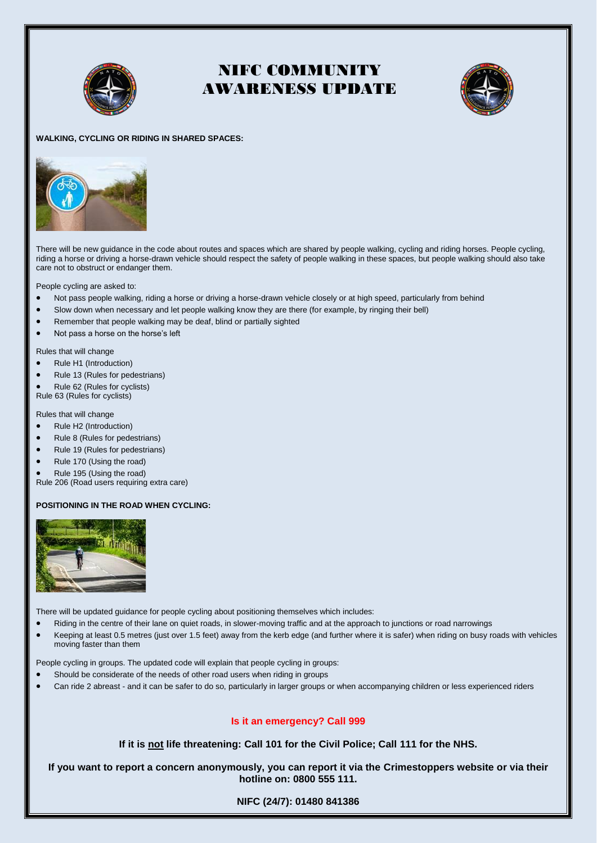



#### **WALKING, CYCLING OR RIDING IN SHARED SPACES:**



There will be new guidance in the code about routes and spaces which are shared by people walking, cycling and riding horses. People cycling, riding a horse or driving a horse-drawn vehicle should respect the safety of people walking in these spaces, but people walking should also take care not to obstruct or endanger them.

People cycling are asked to:

- Not pass people walking, riding a horse or driving a horse-drawn vehicle closely or at high speed, particularly from behind
- Slow down when necessary and let people walking know they are there (for example, by ringing their bell)
- Remember that people walking may be deaf, blind or partially sighted
- Not pass a horse on the horse's left

Rules that will change

- Rule H1 (Introduction)
- Rule 13 (Rules for pedestrians)
- Rule 62 (Rules for cyclists)
- Rule 63 (Rules for cyclists)

Rules that will change

- Rule H2 (Introduction)
- Rule 8 (Rules for pedestrians)
- Rule 19 (Rules for pedestrians)
- Rule 170 (Using the road)
- Rule 195 (Using the road)

Rule 206 (Road users requiring extra care)

#### **POSITIONING IN THE ROAD WHEN CYCLING:**



There will be updated guidance for people cycling about positioning themselves which includes:

- Riding in the centre of their lane on quiet roads, in slower-moving traffic and at the approach to junctions or road narrowings
- Keeping at least 0.5 metres (just over 1.5 feet) away from the kerb edge (and further where it is safer) when riding on busy roads with vehicles moving faster than them

People cycling in groups. The updated code will explain that people cycling in groups:

- Should be considerate of the needs of other road users when riding in groups
- Can ride 2 abreast and it can be safer to do so, particularly in larger groups or when accompanying children or less experienced riders

#### **Is it an emergency? Call [999](tel:999)**

**If it is not life threatening: Call 101 for the Civil Police; Call 111 for the NHS.**

**If you want to report a concern anonymously, you can report it via the [Crimestoppers website](https://crimestoppers-uk.org/give-information/give-information-online/) or via their hotline on: 0800 555 111.**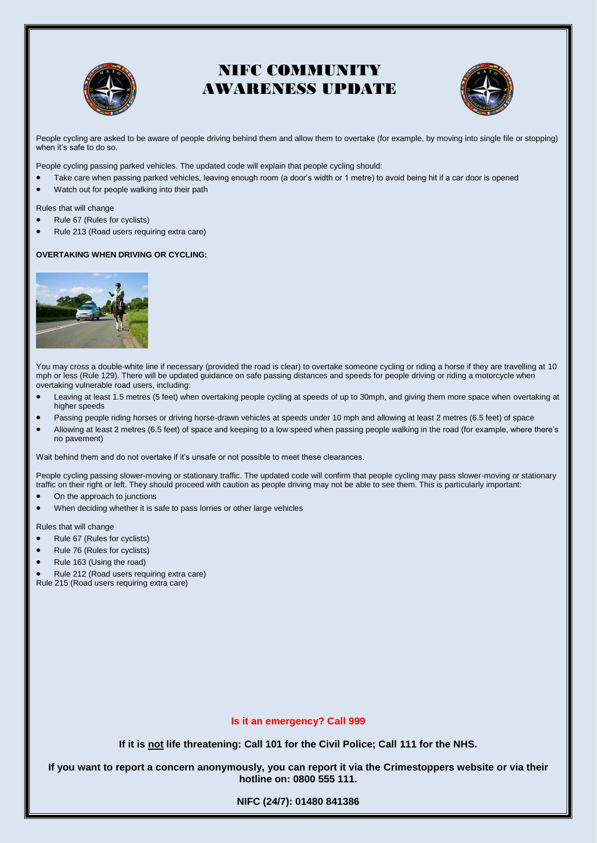



People cycling are asked to be aware of people driving behind them and allow them to overtake (for example, by moving into single file or stopping) when it's safe to do so.

People cycling passing parked vehicles. The updated code will explain that people cycling should:

- Take care when passing parked vehicles, leaving enough room (a door's width or 1 metre) to avoid being hit if a car door is opened
- Watch out for people walking into their path

Rules that will change

- Rule 67 (Rules for cyclists)
- Rule 213 (Road users requiring extra care)

#### **OVERTAKING WHEN DRIVING OR CYCLING:**



You may cross a double-white line if necessary (provided the road is clear) to overtake someone cycling or riding a horse if they are travelling at 10 mph or less (Rule 129). There will be updated guidance on safe passing distances and speeds for people driving or riding a motorcycle when overtaking vulnerable road users, including:

- Leaving at least 1.5 metres (5 feet) when overtaking people cycling at speeds of up to 30mph, and giving them more space when overtaking at higher speeds
- Passing people riding horses or driving horse-drawn vehicles at speeds under 10 mph and allowing at least 2 metres (6.5 feet) of space
- Allowing at least 2 metres (6.5 feet) of space and keeping to a low speed when passing people walking in the road (for example, where there's no pavement)

Wait behind them and do not overtake if it's unsafe or not possible to meet these clearances.

People cycling passing slower-moving or stationary traffic. The updated code will confirm that people cycling may pass slower-moving or stationary traffic on their right or left. They should proceed with caution as people driving may not be able to see them. This is particularly important:

- On the approach to junctions
- When deciding whether it is safe to pass lorries or other large vehicles

Rules that will change

- Rule 67 (Rules for cyclists)
- Rule 76 (Rules for cyclists)
- Rule 163 (Using the road)

Rule 212 (Road users requiring extra care)

Rule 215 (Road users requiring extra care)

#### **Is it an emergency? Call [999](tel:999)**

**If it is not life threatening: Call 101 for the Civil Police; Call 111 for the NHS.**

**If you want to report a concern anonymously, you can report it via the [Crimestoppers website](https://crimestoppers-uk.org/give-information/give-information-online/) or via their hotline on: 0800 555 111.**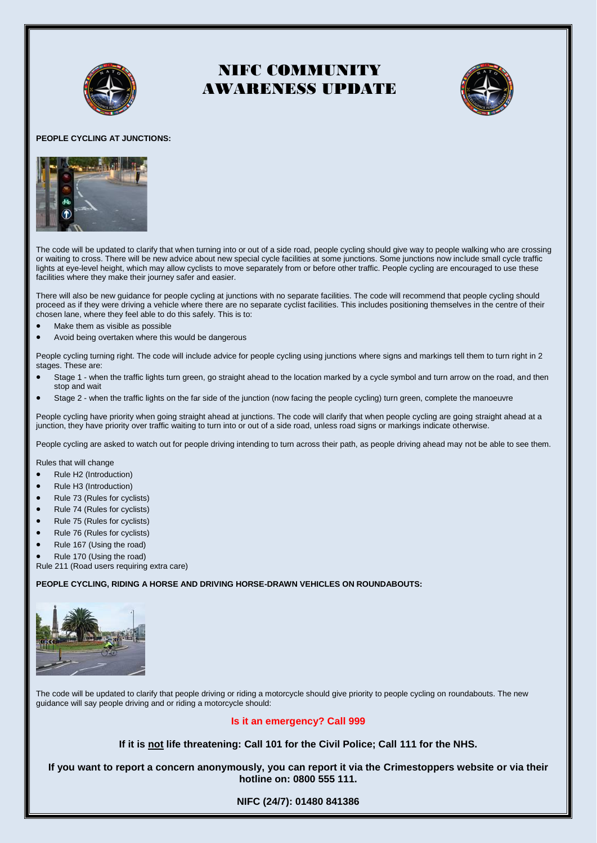



#### **PEOPLE CYCLING AT JUNCTIONS:**



The code will be updated to clarify that when turning into or out of a side road, people cycling should give way to people walking who are crossing or waiting to cross. There will be new advice about new special cycle facilities at some junctions. Some junctions now include small cycle traffic lights at eye-level height, which may allow cyclists to move separately from or before other traffic. People cycling are encouraged to use these facilities where they make their journey safer and easier.

There will also be new guidance for people cycling at junctions with no separate facilities. The code will recommend that people cycling should proceed as if they were driving a vehicle where there are no separate cyclist facilities. This includes positioning themselves in the centre of their chosen lane, where they feel able to do this safely. This is to:

- Make them as visible as possible
- Avoid being overtaken where this would be dangerous

People cycling turning right. The code will include advice for people cycling using junctions where signs and markings tell them to turn right in 2 stages. These are:

- Stage 1 when the traffic lights turn green, go straight ahead to the location marked by a cycle symbol and turn arrow on the road, and then stop and wait
- Stage 2 when the traffic lights on the far side of the junction (now facing the people cycling) turn green, complete the manoeuvre

People cycling have priority when going straight ahead at junctions. The code will clarify that when people cycling are going straight ahead at a junction, they have priority over traffic waiting to turn into or out of a side road, unless road signs or markings indicate otherwise.

People cycling are asked to watch out for people driving intending to turn across their path, as people driving ahead may not be able to see them.

Rules that will change

- Rule H2 (Introduction)
- Rule H3 (Introduction)
- Rule 73 (Rules for cyclists)
- Rule 74 (Rules for cyclists)
- Rule 75 (Rules for cyclists)
- Rule 76 (Rules for cyclists)
- Rule 167 (Using the road)
- Rule 170 (Using the road)

Rule 211 (Road users requiring extra care)

#### **PEOPLE CYCLING, RIDING A HORSE AND DRIVING HORSE-DRAWN VEHICLES ON ROUNDABOUTS:**



The code will be updated to clarify that people driving or riding a motorcycle should give priority to people cycling on roundabouts. The new guidance will say people driving and or riding a motorcycle should:

#### **Is it an emergency? Call [999](tel:999)**

**If it is not life threatening: Call 101 for the Civil Police; Call 111 for the NHS.**

**If you want to report a concern anonymously, you can report it via the [Crimestoppers website](https://crimestoppers-uk.org/give-information/give-information-online/) or via their hotline on: 0800 555 111.**